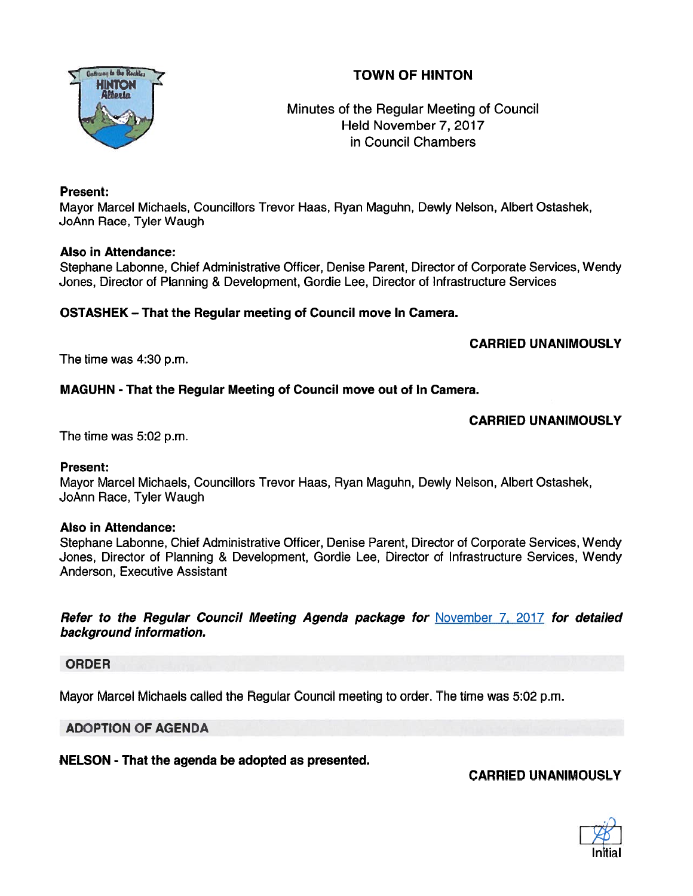# TOWN OF HINTON



Minutes of the Regular Meeting of Council Held November 7, 2017 in Council Chambers

# Present:

Mayor Marcel Michaels, Councillors Trevor Haas, Ryan Maguhn, Dewly Nelson, Albert Ostashek, JoAnn Race, Tyler Waugh

# Also in Attendance:

Stephane Labonne, Chief Administrative Officer, Denise Parent, Director of Corporate Services, Wendy Jones, Director of Planning & Development, Gordie Lee, Director of Infrastructure Services

# OSTASHEK — That the Regular meeting of Council move In Camera.

# CARRIED UNANIMOUSLY

The time was 4:30 p.m.

# MAGUHN -That the Regular Meeting of Council move out of In Camera.

# CARRIED UNANIMOUSLY

The time was 5:02 p.m.

# Present:

Mayor Marcel Michaels, Councillors Trevor Haas, Ryan Maguhn, Dewly Nelson, Albert Ostashek, JoAnn Race, Tyler Waugh

# Also in Attendance:

Stephane Labonne, Chief Administrative Officer, Denise Parent, Director of Corporate Services, Wendy Jones, Director of Planning & Development, Gordie Lee, Director of Infrastructure Services, Wendy Anderson, Executive Assistant

Refer to the Regular Council Meeting Agenda package for November 7, 2017 for detailed background information.

# ORDER

Mayor Marcel Michaels called the Regular Council meeting to order. The time was 5:02 p.m.

# ADOPTION OF AGENDA

NELSON - That the agenda be adopted as presented.

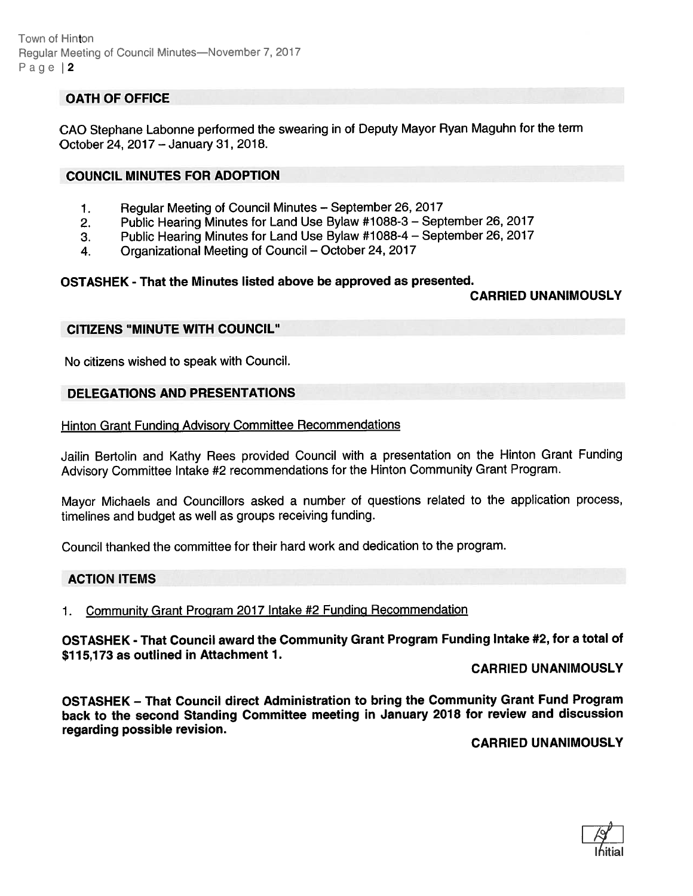Town of Hinton Reqular Meeting of Council Minutes-November 7, 2017 Page  $|2$ 

# OATH OF OFFICE

GAO Stephane Labonne performed the swearing in of Deputy Mayor Ryan Maguhn for the term October 24, 2017 — January 31, 2018.

### COUNCIL MINUTES FOR ADOPTION

- 1. Regular Meeting of Council Minutes September 26, <sup>2017</sup>
- 2. Public Hearing Minutes for Land Use Bylaw #1088-3 September 26, <sup>2017</sup>
- 3. Public Hearing Minutes for Land Use Bylaw #1088-4 September 26, <sup>2017</sup>
- 4. Organizational Meeting of Council October 24, <sup>2017</sup>

#### OSTASHEK - That the Minutes listed above be approved as presented.

### CARRIED UNANIMOUSLY

#### CITIZENS "MINUTE WITH COUNCIL"

No citizens wished to speak with Council.

### DELEGATIONS AND PRESENTATIONS

#### Hinton Grant Funding Advisory Committee Recommendations

Jailin Bertolin and Kathy Rees provided Council with <sup>a</sup> presentation on the Hinton Grant Funding Advisory Committee Intake #2 recommendations for the Hinton Community Grant Program.

Mayor Michaels and Councillors asked <sup>a</sup> number of questions related to the application process, timelines and budget as well as groups receiving funding.

Council thanked the committee for their hard work and dedication to the program.

### ACTION ITEMS

### 1. Community Grant Program <sup>2017</sup> Intake #2 Funding Recommendation

OSTASHEK - That Council award the Community Grant Program Funding Intake #2, for <sup>a</sup> total of \$115,173 as outlined in Attachment 1.

#### CARRIED UNANIMOUSLY

OSTASHEK — That Council direct Administration to bring the Community Grant Fund Program back to the second Standing Committee meeting in January <sup>2078</sup> for review and discussion regarding possible revision.

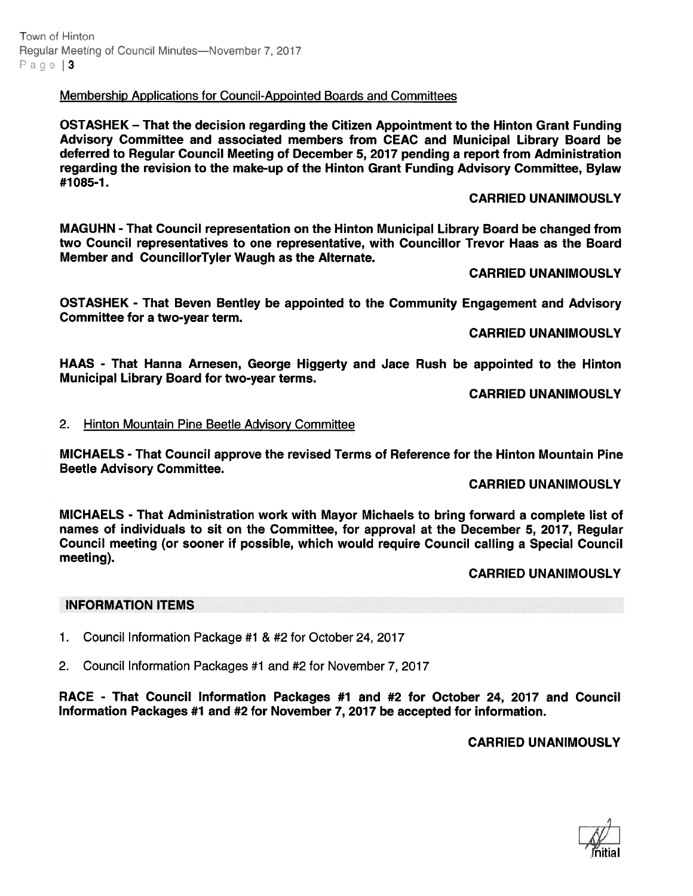Town of Hinton Regular Meeting of Council Minutes—November 7, 2017 Page | 3

Membership Applications for Council-Appointed Boards and Committees

OSTASHEK — That the decision regarding the Citizen Appointment to the Hinton Grant Funding Advisory Committee and associated members from CEAC and Municipal Library Board be deferred to Regular Council Meeting of December 5, 2077 pending <sup>a</sup> repor<sup>t</sup> from Administration regarding the revision to the make-up of the Hinton Grant Funding Advisory Committee, Bylaw #1085-1.

### CARRIED UNANIMOUSLY

MAGUHN - That Council representation on the Hinton Municipal Library Board be changed from two Council representatives to one representative, with Councillor Trevor Haas as the Board Member and CouncillorTyler Waugh as the Alternate.

CARRIED UNANIMOUSLY

OSTASHEK - That Beven Bentley be appointed to the Community Engagement and Advisory Committee for <sup>a</sup> two-year term.

CARRIED UNANIMOUSLY

HAAS - That Hanna Arnesen, George Higgerty and Jace Rush be appointed to the Hinton Municipal Library Board for two-year terms.

CARRIED UNANIMOUSLY

### 2. Hinton Mountain Pine Beetle Advisory Committee

MICHAELS - That Council approve the revised Terms of Reference for the Hinton Mountain Pine Beetle Advisory Committee.

### CARRIED UNANIMOUSLY

MICHAELS - That Administration work with Mayor Michaels to bring forward <sup>a</sup> complete list of names of individuals to sit on the Committee, for approval at the December 5, 2017, Regular Council meeting (or sooner if possible, which would require Council calling <sup>a</sup> Special Council meeting).

# CARRIED UNANIMOUSLY

### INFORMATION ITEMS

- 1. Council Information Package #1 & #2 for October 24, 2017
- 2. Council Information Packages #1 and #2 for November 7, 2017

RACE - That Council Information Packages #1 and #2 for October 24, 2077 and Council Information Packages #1 and #2 for November 7, 2017 be accepted for information.

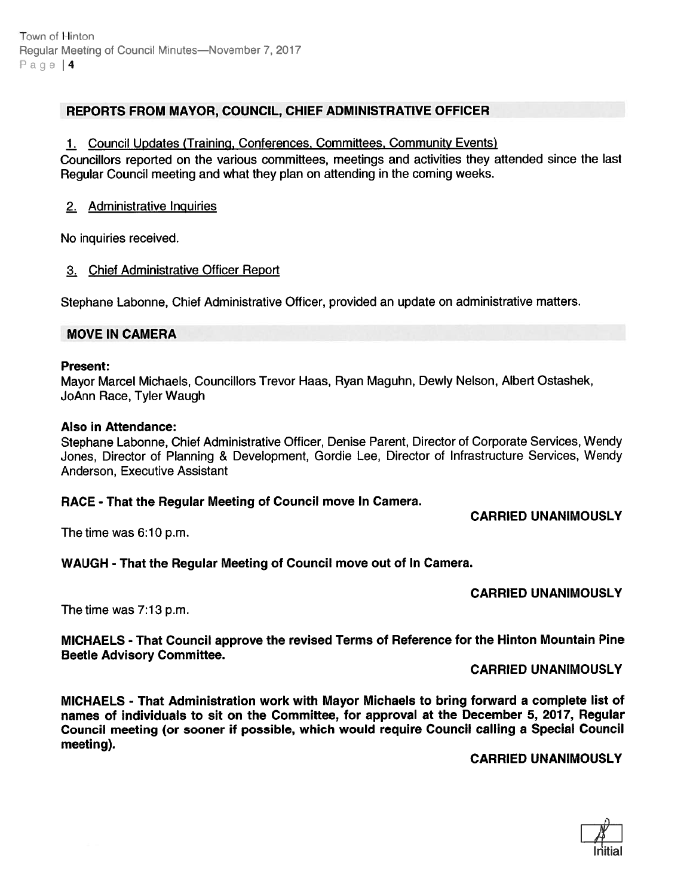# REPORTS FROM MAYOR, COUNCIL, CHIEF ADMINISTRATIVE OFFICER

### 1. Council Updates (Training, Conferences, Committees, Community Events)

Councillors reported on the various committees, meetings and activities they attended since the last Regular Council meeting and what they plan on attending in the coming weeks.

# 2. Administrative Inguiries

No inquiries received.

# 3. Chief Administrative Officer Report

Stephane Labonne, Chief Administrative Officer, provided an update on administrative matters.

### MOVE IN CAMERA

#### Present:

Mayor Marcel Michaels, Councillors Trevor Haas, Ryan Maguhn, Dewly Nelson, Albert Ostashek, JoAnn Race, Tyler Waugh

### Also in Attendance:

Stephane Labonne, Chief Administrative Officer, Denise Parent, Director of Corporate Services, Wendy Jones, Director of Planning & Development, Gordie Lee, Director of Infrastructure Services, Wendy Anderson, Executive Assistant

# RACE - That the Regular Meeting of Council move In Camera.

CARRIED UNANIMOUSLY

The time was 6:10 p.m.

# WAUGH - That the Regular Meeting of Council move out of In Camera.

# CARRIED UNANIMOUSLY

The time was 7:13 p.m.

MICHAELS - That Council approve the revised Terms of Reference for the Hinton Mountain Pine Beetle Advisory Committee.

CARRIED UNANIMOUSLY

MICHAELS - That Administration work with Mayor Michaels to bring forward <sup>a</sup> complete list of names of individuals to sit on the Committee, for approval at the December 5, 2017, Regular Council meeting (or sooner if possible, which would require Council calling <sup>a</sup> Special Council meeting).